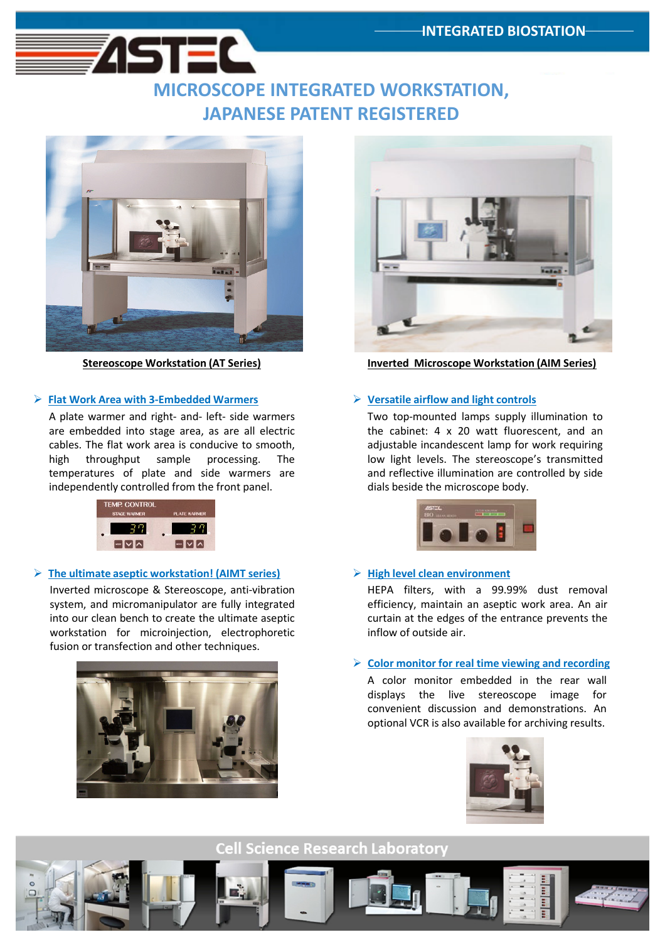## MICROSCOPE INTEGRATED WORKSTATION, JAPANESE PATENT REGISTERED



151 EL

### $\triangleright$  Flat Work Area with 3-Embedded Warmers

A plate warmer and right- and- left- side warmers are embedded into stage area, as are all electric cables. The flat work area is conducive to smooth, high throughput sample processing. The temperatures of plate and side warmers are independently controlled from the front panel.

| <b>TEMP. CONTROL</b><br><b>STAGE WARMER</b> | PLATE WARMER |
|---------------------------------------------|--------------|
|                                             |              |
|                                             |              |

### $\triangleright$  The ultimate aseptic workstation! (AIMT series)

Inverted microscope & Stereoscope, anti-vibration system, and micromanipulator are fully integrated into our clean bench to create the ultimate aseptic workstation for microinjection, electrophoretic fusion or transfection and other techniques.





Stereoscope Workstation (AT Series) Inverted Microscope Workstation (AIM Series)

### $\triangleright$  Versatile airflow and light controls

Two top-mounted lamps supply illumination to the cabinet: 4 x 20 watt fluorescent, and an adjustable incandescent lamp for work requiring low light levels. The stereoscope's transmitted and reflective illumination are controlled by side dials beside the microscope body.



### $\triangleright$  High level clean environment

HEPA filters, with a 99.99% dust removal efficiency, maintain an aseptic work area. An air curtain at the edges of the entrance prevents the inflow of outside air.

### $\triangleright$  Color monitor for real time viewing and recording

A color monitor embedded in the rear wall displays the live stereoscope image for convenient discussion and demonstrations. An optional VCR is also available for archiving results.